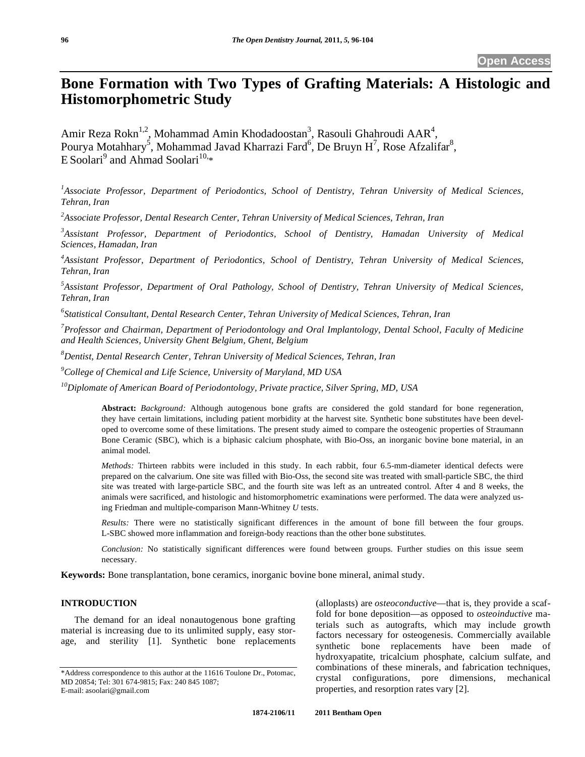# **Bone Formation with Two Types of Grafting Materials: A Histologic and Histomorphometric Study**

Amir Reza Rokn<sup>1,2</sup>, Mohammad Amin Khodadoostan<sup>3</sup>, Rasouli Ghahroudi AAR<sup>4</sup>, Pourya Motahhary<sup>5</sup>, Mohammad Javad Kharrazi Fard<sup>6</sup>, De Bruyn H<sup>7</sup>, Rose Afzalifar<sup>8</sup>,  $E$  Soolari<sup>9</sup> and Ahmad Soolari<sup>10,\*</sup>

<sup>1</sup> Associate Professor, Department of Periodontics, School of Dentistry, Tehran University of Medical Sciences, *Tehran, Iran* 

*2 Associate Professor, Dental Research Center, Tehran University of Medical Sciences, Tehran, Iran* 

*3 Assistant Professor, Department of Periodontics, School of Dentistry, Hamadan University of Medical Sciences, Hamadan, Iran* 

*4 Assistant Professor, Department of Periodontics, School of Dentistry, Tehran University of Medical Sciences, Tehran, Iran* 

*5 Assistant Professor, Department of Oral Pathology, School of Dentistry, Tehran University of Medical Sciences, Tehran, Iran* 

*6 Statistical Consultant, Dental Research Center, Tehran University of Medical Sciences, Tehran, Iran* 

*7 Professor and Chairman, Department of Periodontology and Oral Implantology, Dental School, Faculty of Medicine and Health Sciences, University Ghent Belgium, Ghent, Belgium* 

*8 Dentist, Dental Research Center, Tehran University of Medical Sciences, Tehran, Iran* 

*9 College of Chemical and Life Science, University of Maryland, MD USA* 

*10Diplomate of American Board of Periodontology, Private practice, Silver Spring, MD, USA* 

**Abstract:** *Background:* Although autogenous bone grafts are considered the gold standard for bone regeneration, they have certain limitations, including patient morbidity at the harvest site. Synthetic bone substitutes have been developed to overcome some of these limitations. The present study aimed to compare the osteogenic properties of Straumann Bone Ceramic (SBC), which is a biphasic calcium phosphate, with Bio-Oss, an inorganic bovine bone material, in an animal model.

*Methods:* Thirteen rabbits were included in this study. In each rabbit, four 6.5-mm-diameter identical defects were prepared on the calvarium. One site was filled with Bio-Oss, the second site was treated with small-particle SBC, the third site was treated with large-particle SBC, and the fourth site was left as an untreated control. After 4 and 8 weeks, the animals were sacrificed, and histologic and histomorphometric examinations were performed. The data were analyzed using Friedman and multiple-comparison Mann-Whitney *U* tests.

*Results:* There were no statistically significant differences in the amount of bone fill between the four groups. L-SBC showed more inflammation and foreign-body reactions than the other bone substitutes.

*Conclusion:* No statistically significant differences were found between groups. Further studies on this issue seem necessary.

**Keywords:** Bone transplantation, bone ceramics, inorganic bovine bone mineral, animal study.

#### **INTRODUCTION**

The demand for an ideal nonautogenous bone grafting material is increasing due to its unlimited supply, easy storage, and sterility [1]. Synthetic bone replacements (alloplasts) are *osteoconductive*—that is, they provide a scaffold for bone deposition—as opposed to *osteoinductive* materials such as autografts, which may include growth factors necessary for osteogenesis. Commercially available synthetic bone replacements have been made of hydroxyapatite, tricalcium phosphate, calcium sulfate, and combinations of these minerals, and fabrication techniques, crystal configurations, pore dimensions, mechanical properties, and resorption rates vary [2].

<sup>\*</sup>Address correspondence to this author at the 11616 Toulone Dr., Potomac, MD 20854; Tel: 301 674-9815; Fax: 240 845 1087; E-mail: asoolari@gmail.com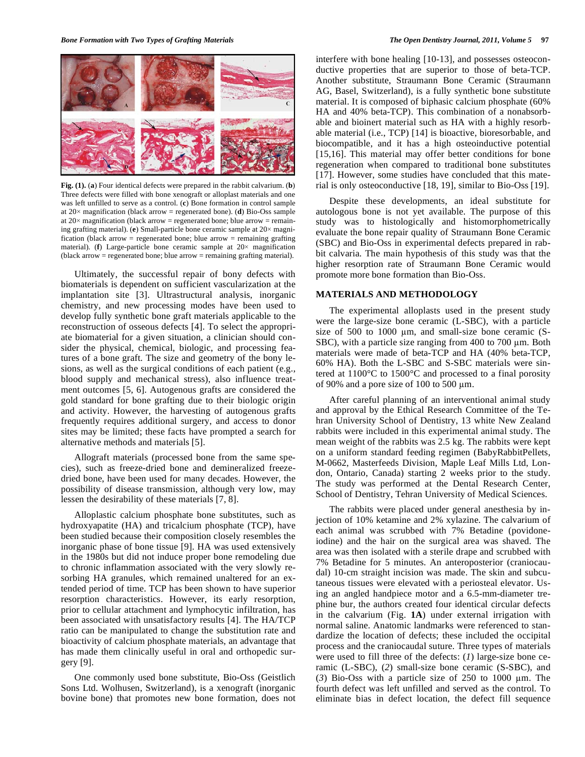

**Fig. (1).** (**a**) Four identical defects were prepared in the rabbit calvarium. (**b**) Three defects were filled with bone xenograft or alloplast materials and one was left unfilled to serve as a control. (**c**) Bone formation in control sample at  $20 \times$  magnification (black arrow = regenerated bone). (**d**) Bio-Oss sample at  $20 \times$  magnification (black arrow = regenerated bone; blue arrow = remaining grafting material). (e) Small-particle bone ceramic sample at  $20 \times$  magnification (black arrow = regenerated bone; blue arrow = remaining grafting material). ( $f$ ) Large-particle bone ceramic sample at  $20 \times$  magnification (black arrow = regenerated bone; blue arrow = remaining grafting material).

Ultimately, the successful repair of bony defects with biomaterials is dependent on sufficient vascularization at the implantation site [3]. Ultrastructural analysis, inorganic chemistry, and new processing modes have been used to develop fully synthetic bone graft materials applicable to the reconstruction of osseous defects [4]. To select the appropriate biomaterial for a given situation, a clinician should consider the physical, chemical, biologic, and processing features of a bone graft. The size and geometry of the bony lesions, as well as the surgical conditions of each patient (e.g., blood supply and mechanical stress), also influence treatment outcomes [5, 6]. Autogenous grafts are considered the gold standard for bone grafting due to their biologic origin and activity. However, the harvesting of autogenous grafts frequently requires additional surgery, and access to donor sites may be limited; these facts have prompted a search for alternative methods and materials [5].

Allograft materials (processed bone from the same species), such as freeze-dried bone and demineralized freezedried bone, have been used for many decades. However, the possibility of disease transmission, although very low, may lessen the desirability of these materials [7, 8].

Alloplastic calcium phosphate bone substitutes, such as hydroxyapatite (HA) and tricalcium phosphate (TCP), have been studied because their composition closely resembles the inorganic phase of bone tissue [9]. HA was used extensively in the 1980s but did not induce proper bone remodeling due to chronic inflammation associated with the very slowly resorbing HA granules, which remained unaltered for an extended period of time. TCP has been shown to have superior resorption characteristics. However, its early resorption, prior to cellular attachment and lymphocytic infiltration, has been associated with unsatisfactory results [4]. The HA/TCP ratio can be manipulated to change the substitution rate and bioactivity of calcium phosphate materials, an advantage that has made them clinically useful in oral and orthopedic surgery [9].

One commonly used bone substitute, Bio-Oss (Geistlich Sons Ltd. Wolhusen, Switzerland), is a xenograft (inorganic bovine bone) that promotes new bone formation, does not interfere with bone healing [10-13], and possesses osteoconductive properties that are superior to those of beta-TCP. Another substitute, Straumann Bone Ceramic (Straumann AG, Basel, Switzerland), is a fully synthetic bone substitute material. It is composed of biphasic calcium phosphate (60% HA and 40% beta-TCP). This combination of a nonabsorbable and bioinert material such as HA with a highly resorbable material (i.e., TCP) [14] is bioactive, bioresorbable, and biocompatible, and it has a high osteoinductive potential [15,16]. This material may offer better conditions for bone regeneration when compared to traditional bone substitutes [17]. However, some studies have concluded that this material is only osteoconductive [18, 19], similar to Bio-Oss [19].

Despite these developments, an ideal substitute for autologous bone is not yet available. The purpose of this study was to histologically and histomorphometrically evaluate the bone repair quality of Straumann Bone Ceramic (SBC) and Bio-Oss in experimental defects prepared in rabbit calvaria. The main hypothesis of this study was that the higher resorption rate of Straumann Bone Ceramic would promote more bone formation than Bio-Oss.

#### **MATERIALS AND METHODOLOGY**

The experimental alloplasts used in the present study were the large-size bone ceramic (L-SBC), with a particle size of 500 to 1000  $\mu$ m, and small-size bone ceramic (S-SBC), with a particle size ranging from  $400$  to  $700 \mu m$ . Both materials were made of beta-TCP and HA (40% beta-TCP, 60% HA). Both the L-SBC and S-SBC materials were sintered at 1100°C to 1500°C and processed to a final porosity of 90% and a pore size of 100 to 500  $\mu$ m.

After careful planning of an interventional animal study and approval by the Ethical Research Committee of the Tehran University School of Dentistry, 13 white New Zealand rabbits were included in this experimental animal study. The mean weight of the rabbits was 2.5 kg. The rabbits were kept on a uniform standard feeding regimen (BabyRabbitPellets, M-0662, Masterfeeds Division, Maple Leaf Mills Ltd, London, Ontario, Canada) starting 2 weeks prior to the study. The study was performed at the Dental Research Center, School of Dentistry, Tehran University of Medical Sciences.

The rabbits were placed under general anesthesia by injection of 10% ketamine and 2% xylazine. The calvarium of each animal was scrubbed with 7% Betadine (povidoneiodine) and the hair on the surgical area was shaved. The area was then isolated with a sterile drape and scrubbed with 7% Betadine for 5 minutes. An anteroposterior (craniocaudal) 10-cm straight incision was made. The skin and subcutaneous tissues were elevated with a periosteal elevator. Using an angled handpiece motor and a 6.5-mm-diameter trephine bur, the authors created four identical circular defects in the calvarium (Fig. **1A**) under external irrigation with normal saline. Anatomic landmarks were referenced to standardize the location of defects; these included the occipital process and the craniocaudal suture. Three types of materials were used to fill three of the defects: (*1*) large-size bone ceramic (L-SBC), (*2*) small-size bone ceramic (S-SBC), and ( $3$ ) Bio-Oss with a particle size of 250 to 1000  $\mu$ m. The fourth defect was left unfilled and served as the control. To eliminate bias in defect location, the defect fill sequence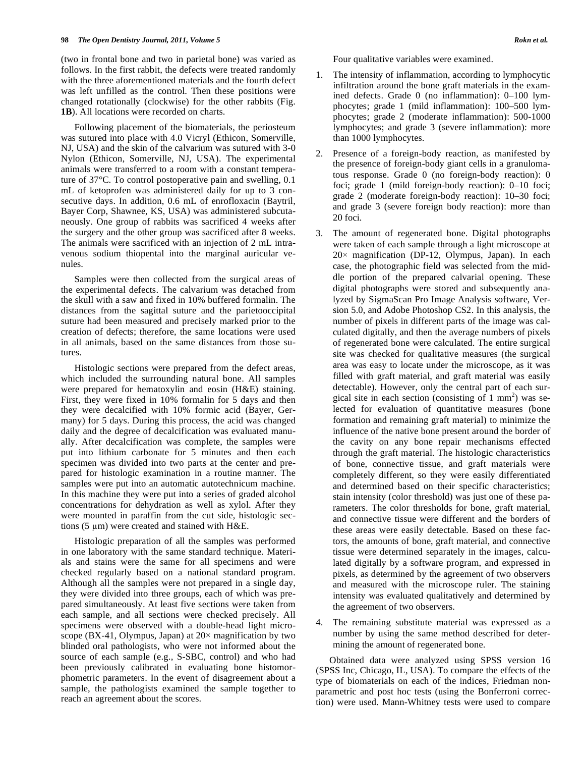(two in frontal bone and two in parietal bone) was varied as follows. In the first rabbit, the defects were treated randomly with the three aforementioned materials and the fourth defect was left unfilled as the control. Then these positions were changed rotationally (clockwise) for the other rabbits (Fig. **1B**). All locations were recorded on charts.

Following placement of the biomaterials, the periosteum was sutured into place with 4.0 Vicryl (Ethicon, Somerville, NJ, USA) and the skin of the calvarium was sutured with 3-0 Nylon (Ethicon, Somerville, NJ, USA). The experimental animals were transferred to a room with a constant temperature of 37°C. To control postoperative pain and swelling, 0.1 mL of ketoprofen was administered daily for up to 3 consecutive days. In addition, 0.6 mL of enrofloxacin (Baytril, Bayer Corp, Shawnee, KS, USA) was administered subcutaneously. One group of rabbits was sacrificed 4 weeks after the surgery and the other group was sacrificed after 8 weeks. The animals were sacrificed with an injection of 2 mL intravenous sodium thiopental into the marginal auricular venules.

Samples were then collected from the surgical areas of the experimental defects. The calvarium was detached from the skull with a saw and fixed in 10% buffered formalin. The distances from the sagittal suture and the parietooccipital suture had been measured and precisely marked prior to the creation of defects; therefore, the same locations were used in all animals, based on the same distances from those sutures.

Histologic sections were prepared from the defect areas, which included the surrounding natural bone. All samples were prepared for hematoxylin and eosin (H&E) staining. First, they were fixed in 10% formalin for 5 days and then they were decalcified with 10% formic acid (Bayer, Germany) for 5 days. During this process, the acid was changed daily and the degree of decalcification was evaluated manually. After decalcification was complete, the samples were put into lithium carbonate for 5 minutes and then each specimen was divided into two parts at the center and prepared for histologic examination in a routine manner. The samples were put into an automatic autotechnicum machine. In this machine they were put into a series of graded alcohol concentrations for dehydration as well as xylol. After they were mounted in paraffin from the cut side, histologic sections (5  $\mu$ m) were created and stained with H&E.

Histologic preparation of all the samples was performed in one laboratory with the same standard technique. Materials and stains were the same for all specimens and were checked regularly based on a national standard program. Although all the samples were not prepared in a single day, they were divided into three groups, each of which was prepared simultaneously. At least five sections were taken from each sample, and all sections were checked precisely. All specimens were observed with a double-head light microscope (BX-41, Olympus, Japan) at  $20 \times$  magnification by two blinded oral pathologists, who were not informed about the source of each sample (e.g., S-SBC, control) and who had been previously calibrated in evaluating bone histomorphometric parameters. In the event of disagreement about a sample, the pathologists examined the sample together to reach an agreement about the scores.

Four qualitative variables were examined.

- 1. The intensity of inflammation, according to lymphocytic infiltration around the bone graft materials in the examined defects. Grade 0 (no inflammation): 0–100 lymphocytes; grade 1 (mild inflammation): 100–500 lymphocytes; grade 2 (moderate inflammation): 500-1000 lymphocytes; and grade 3 (severe inflammation): more than 1000 lymphocytes.
- Presence of a foreign-body reaction, as manifested by the presence of foreign-body giant cells in a granulomatous response. Grade 0 (no foreign-body reaction): 0 foci; grade 1 (mild foreign-body reaction): 0–10 foci; grade 2 (moderate foreign-body reaction): 10–30 foci; and grade 3 (severe foreign body reaction): more than 20 foci.
- 3. The amount of regenerated bone. Digital photographs were taken of each sample through a light microscope at  $20 \times$  magnification (DP-12, Olympus, Japan). In each case, the photographic field was selected from the middle portion of the prepared calvarial opening. These digital photographs were stored and subsequently analyzed by SigmaScan Pro Image Analysis software, Version 5.0, and Adobe Photoshop CS2. In this analysis, the number of pixels in different parts of the image was calculated digitally, and then the average numbers of pixels of regenerated bone were calculated. The entire surgical site was checked for qualitative measures (the surgical area was easy to locate under the microscope, as it was filled with graft material, and graft material was easily detectable). However, only the central part of each surgical site in each section (consisting of  $1 \text{ mm}^2$ ) was selected for evaluation of quantitative measures (bone formation and remaining graft material) to minimize the influence of the native bone present around the border of the cavity on any bone repair mechanisms effected through the graft material. The histologic characteristics of bone, connective tissue, and graft materials were completely different, so they were easily differentiated and determined based on their specific characteristics; stain intensity (color threshold) was just one of these parameters. The color thresholds for bone, graft material, and connective tissue were different and the borders of these areas were easily detectable. Based on these factors, the amounts of bone, graft material, and connective tissue were determined separately in the images, calculated digitally by a software program, and expressed in pixels, as determined by the agreement of two observers and measured with the microscope ruler. The staining intensity was evaluated qualitatively and determined by the agreement of two observers.
- 4. The remaining substitute material was expressed as a number by using the same method described for determining the amount of regenerated bone.

Obtained data were analyzed using SPSS version 16 (SPSS Inc, Chicago, IL, USA). To compare the effects of the type of biomaterials on each of the indices, Friedman nonparametric and post hoc tests (using the Bonferroni correction) were used. Mann-Whitney tests were used to compare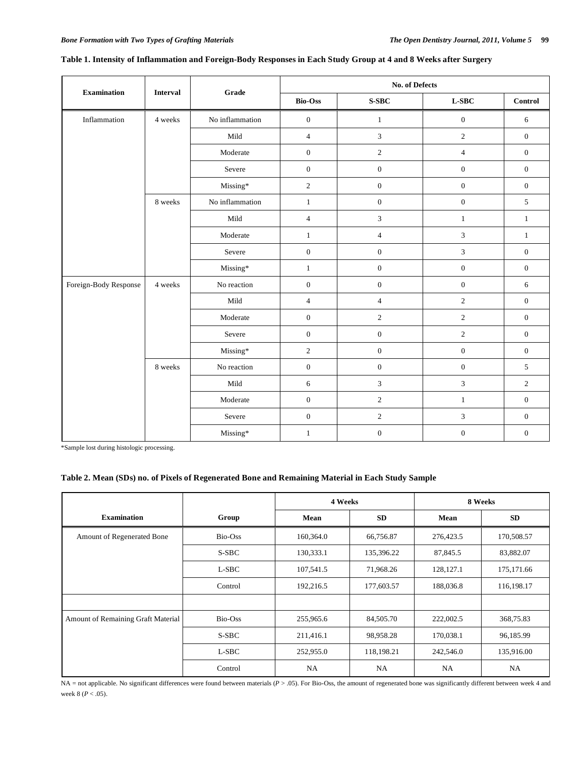| <b>Examination</b>    | <b>Interval</b> | Grade                      | <b>No. of Defects</b> |                             |                  |                  |
|-----------------------|-----------------|----------------------------|-----------------------|-----------------------------|------------------|------------------|
|                       |                 |                            | <b>Bio-Oss</b>        | S-SBC                       | $L-SBC$          | Control          |
| Inflammation          | 4 weeks         | No inflammation            | $\mathbf{0}$          | $\mathbf{1}$                | $\boldsymbol{0}$ | 6                |
|                       |                 | Mild                       | $\overline{4}$        | 3                           | $\sqrt{2}$       | $\mathbf{0}$     |
|                       |                 | Moderate                   | $\mathbf{0}$          | $\overline{c}$              | $\overline{4}$   | $\boldsymbol{0}$ |
|                       |                 | Severe                     | $\boldsymbol{0}$      | $\boldsymbol{0}$            | $\boldsymbol{0}$ | $\boldsymbol{0}$ |
|                       |                 | Missing*                   | $\sqrt{2}$            | $\boldsymbol{0}$            | $\boldsymbol{0}$ | $\boldsymbol{0}$ |
|                       | 8 weeks         | No inflammation            | $\mathbf{1}$          | $\boldsymbol{0}$            | $\boldsymbol{0}$ | $5\,$            |
|                       |                 | $\operatorname{Mild}$      | $\overline{4}$        | $\mathfrak{Z}$              | $\,1$            | $\mathbf{1}$     |
|                       |                 | Moderate                   | $\mathbf{1}$          | $\overline{4}$              | 3                | $\mathbf{1}$     |
|                       |                 | Severe                     | $\mathbf{0}$          | $\boldsymbol{0}$            | 3                | $\boldsymbol{0}$ |
|                       |                 | Missing*                   | $\mathbf{1}$          | $\boldsymbol{0}$            | $\boldsymbol{0}$ | $\boldsymbol{0}$ |
| Foreign-Body Response | 4 weeks         | No reaction                | $\boldsymbol{0}$      | $\boldsymbol{0}$            | $\boldsymbol{0}$ | 6                |
|                       |                 | $\operatorname{Mild}$      | $\overline{4}$        | $\overline{4}$              | $\sqrt{2}$       | $\boldsymbol{0}$ |
|                       |                 | Moderate                   | $\mathbf{0}$          | $\overline{c}$              | $\overline{c}$   | $\mathbf{0}$     |
|                       |                 | Severe                     | $\mathbf{0}$          | $\boldsymbol{0}$            | $\overline{c}$   | $\boldsymbol{0}$ |
|                       |                 | $\operatorname{Missing}^*$ | $\sqrt{2}$            | $\boldsymbol{0}$            | $\boldsymbol{0}$ | $\boldsymbol{0}$ |
|                       | 8 weeks         | No reaction                | $\boldsymbol{0}$      | $\boldsymbol{0}$            | $\boldsymbol{0}$ | 5                |
|                       |                 | Mild                       | $\sqrt{6}$            | $\ensuremath{\mathfrak{Z}}$ | $\mathfrak{Z}$   | $\overline{c}$   |
|                       |                 | Moderate                   | $\boldsymbol{0}$      | $\sqrt{2}$                  | $\mathbf{1}$     | $\mathbf{0}$     |
|                       |                 | Severe                     | $\mathbf{0}$          | $\overline{c}$              | 3                | $\mathbf{0}$     |
|                       |                 | Missing*                   | $\mathbf{1}$          | $\boldsymbol{0}$            | $\boldsymbol{0}$ | $\boldsymbol{0}$ |

# **Table 1. Intensity of Inflammation and Foreign-Body Responses in Each Study Group at 4 and 8 Weeks after Surgery**

\*Sample lost during histologic processing.

### **Table 2. Mean (SDs) no. of Pixels of Regenerated Bone and Remaining Material in Each Study Sample**

|                                    |         | 4 Weeks   |            | 8 Weeks   |             |
|------------------------------------|---------|-----------|------------|-----------|-------------|
| <b>Examination</b>                 | Group   | Mean      | <b>SD</b>  | Mean      | <b>SD</b>   |
| Amount of Regenerated Bone         | Bio-Oss | 160,364.0 | 66,756.87  | 276,423.5 | 170,508.57  |
|                                    | S-SBC   | 130,333.1 | 135,396.22 | 87,845.5  | 83,882.07   |
|                                    | L-SBC   | 107,541.5 | 71,968.26  | 128,127.1 | 175, 171.66 |
|                                    | Control | 192,216.5 | 177,603.57 | 188,036.8 | 116,198.17  |
|                                    |         |           |            |           |             |
| Amount of Remaining Graft Material | Bio-Oss | 255,965.6 | 84,505.70  | 222,002.5 | 368,75.83   |
|                                    | S-SBC   | 211,416.1 | 98,958.28  | 170,038.1 | 96,185.99   |
|                                    | L-SBC   | 252,955.0 | 118,198.21 | 242,546.0 | 135,916.00  |
|                                    | Control | <b>NA</b> | <b>NA</b>  | <b>NA</b> | NA          |

NA = not applicable. No significant differences were found between materials (*P* > .05). For Bio-Oss, the amount of regenerated bone was significantly different between week 4 and week 8 (*P* < .05).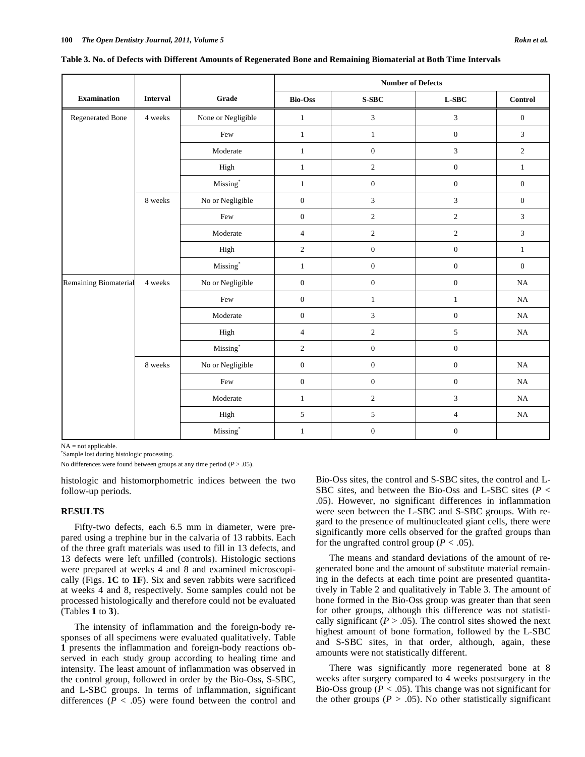|                       |                 |                      | <b>Number of Defects</b> |                  |                             |                             |
|-----------------------|-----------------|----------------------|--------------------------|------------------|-----------------------------|-----------------------------|
| <b>Examination</b>    | <b>Interval</b> | Grade                | <b>Bio-Oss</b>           | $S-SBC$          | $L-SBC$                     | Control                     |
| Regenerated Bone      | 4 weeks         | None or Negligible   | $\,1$                    | 3                | $\mathfrak{Z}$              | $\boldsymbol{0}$            |
|                       |                 | $\mbox{Few}$         | $\,1$                    | $\mathbf{1}$     | $\boldsymbol{0}$            | $\mathfrak{Z}$              |
|                       |                 | Moderate             | $\mathbf{1}$             | $\boldsymbol{0}$ | $\mathfrak{Z}$              | $\sqrt{2}$                  |
|                       |                 | High                 | $\mathbf{1}$             | $\sqrt{2}$       | $\boldsymbol{0}$            | $\mathbf{1}$                |
|                       |                 | $\mathbf{Missing}^*$ | $\mathbf{1}$             | $\boldsymbol{0}$ | $\boldsymbol{0}$            | $\boldsymbol{0}$            |
|                       | 8 weeks         | No or Negligible     | $\mathbf{0}$             | $\overline{3}$   | $\ensuremath{\mathfrak{Z}}$ | $\boldsymbol{0}$            |
|                       |                 | Few                  | $\boldsymbol{0}$         | $\sqrt{2}$       | $\sqrt{2}$                  | $\mathfrak{Z}$              |
|                       |                 | Moderate             | $\overline{4}$           | $\sqrt{2}$       | $\sqrt{2}$                  | $\ensuremath{\mathfrak{Z}}$ |
|                       |                 | High                 | $\overline{c}$           | $\boldsymbol{0}$ | $\boldsymbol{0}$            | $\mathbf{1}$                |
|                       |                 | $\mathbf{Missing}^*$ | $\mathbf{1}$             | $\boldsymbol{0}$ | $\boldsymbol{0}$            | $\boldsymbol{0}$            |
| Remaining Biomaterial | 4 weeks         | No or Negligible     | $\mathbf{0}$             | $\mathbf{0}$     | $\boldsymbol{0}$            | NA                          |
|                       |                 | Few                  | $\boldsymbol{0}$         | $\mathbf{1}$     | $\,1\,$                     | NA                          |
|                       |                 | Moderate             | $\boldsymbol{0}$         | $\mathfrak{Z}$   | $\boldsymbol{0}$            | NA                          |
|                       |                 | High                 | $\overline{4}$           | $\sqrt{2}$       | $\sqrt{5}$                  | $_{\rm NA}$                 |
|                       |                 | $\mathbf{Missing}^*$ | $\sqrt{2}$               | $\boldsymbol{0}$ | $\boldsymbol{0}$            |                             |
|                       | 8 weeks         | No or Negligible     | $\boldsymbol{0}$         | $\boldsymbol{0}$ | $\boldsymbol{0}$            | $_{\rm NA}$                 |
|                       |                 | Few                  | $\boldsymbol{0}$         | $\boldsymbol{0}$ | $\boldsymbol{0}$            | NA                          |
|                       |                 | Moderate             | $\mathbf{1}$             | $\sqrt{2}$       | $\ensuremath{\mathfrak{Z}}$ | $_{\rm NA}$                 |
|                       |                 | High                 | $\sqrt{5}$               | $\sqrt{5}$       | $\overline{4}$              | $\rm NA$                    |
|                       |                 | $\mathbf{Missing}^*$ | $\mathbf{1}$             | $\boldsymbol{0}$ | $\boldsymbol{0}$            |                             |

**Table 3. No. of Defects with Different Amounts of Regenerated Bone and Remaining Biomaterial at Both Time Intervals** 

NA = not applicable.

\* Sample lost during histologic processing.

No differences were found between groups at any time period  $(P > .05)$ .

histologic and histomorphometric indices between the two follow-up periods.

#### **RESULTS**

Fifty-two defects, each 6.5 mm in diameter, were prepared using a trephine bur in the calvaria of 13 rabbits. Each of the three graft materials was used to fill in 13 defects, and 13 defects were left unfilled (controls). Histologic sections were prepared at weeks 4 and 8 and examined microscopically (Figs. **1C** to **1F**). Six and seven rabbits were sacrificed at weeks 4 and 8, respectively. Some samples could not be processed histologically and therefore could not be evaluated (Tables **1** to **3**).

The intensity of inflammation and the foreign-body responses of all specimens were evaluated qualitatively. Table **1** presents the inflammation and foreign-body reactions observed in each study group according to healing time and intensity. The least amount of inflammation was observed in the control group, followed in order by the Bio-Oss, S-SBC, and L-SBC groups. In terms of inflammation, significant differences  $(P < .05)$  were found between the control and Bio-Oss sites, the control and S-SBC sites, the control and L-SBC sites, and between the Bio-Oss and L-SBC sites (*P* < .05). However, no significant differences in inflammation were seen between the L-SBC and S-SBC groups. With regard to the presence of multinucleated giant cells, there were significantly more cells observed for the grafted groups than for the ungrafted control group ( $P < .05$ ).

The means and standard deviations of the amount of regenerated bone and the amount of substitute material remaining in the defects at each time point are presented quantitatively in Table 2 and qualitatively in Table 3. The amount of bone formed in the Bio-Oss group was greater than that seen for other groups, although this difference was not statistically significant ( $P > .05$ ). The control sites showed the next highest amount of bone formation, followed by the L-SBC and S-SBC sites, in that order, although, again, these amounts were not statistically different.

There was significantly more regenerated bone at 8 weeks after surgery compared to 4 weeks postsurgery in the Bio-Oss group ( $P < .05$ ). This change was not significant for the other groups ( $P > .05$ ). No other statistically significant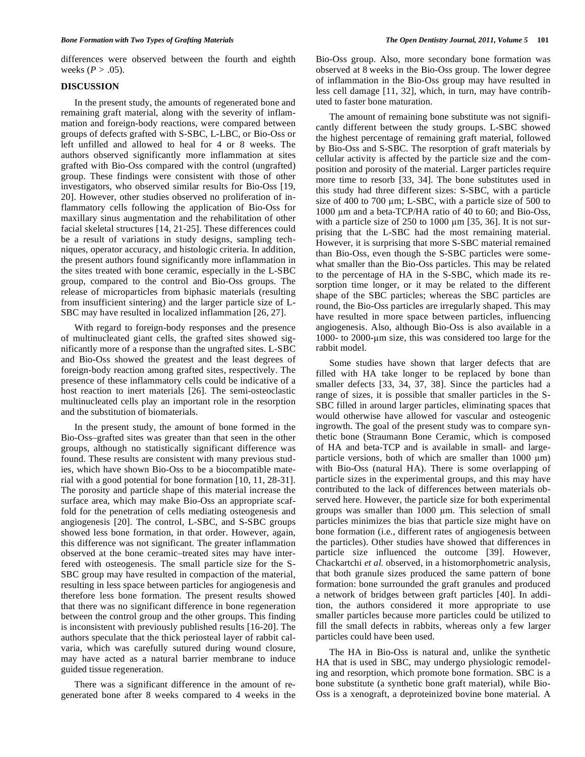differences were observed between the fourth and eighth weeks  $(P > .05)$ .

### **DISCUSSION**

In the present study, the amounts of regenerated bone and remaining graft material, along with the severity of inflammation and foreign-body reactions, were compared between groups of defects grafted with S-SBC, L-LBC, or Bio-Oss or left unfilled and allowed to heal for 4 or 8 weeks. The authors observed significantly more inflammation at sites grafted with Bio-Oss compared with the control (ungrafted) group. These findings were consistent with those of other investigators, who observed similar results for Bio-Oss [19, 20]. However, other studies observed no proliferation of inflammatory cells following the application of Bio-Oss for maxillary sinus augmentation and the rehabilitation of other facial skeletal structures [14, 21-25]. These differences could be a result of variations in study designs, sampling techniques, operator accuracy, and histologic criteria. In addition, the present authors found significantly more inflammation in the sites treated with bone ceramic, especially in the L-SBC group, compared to the control and Bio-Oss groups. The release of microparticles from biphasic materials (resulting from insufficient sintering) and the larger particle size of L-SBC may have resulted in localized inflammation [26, 27].

With regard to foreign-body responses and the presence of multinucleated giant cells, the grafted sites showed significantly more of a response than the ungrafted sites. L-SBC and Bio-Oss showed the greatest and the least degrees of foreign-body reaction among grafted sites, respectively. The presence of these inflammatory cells could be indicative of a host reaction to inert materials [26]. The semi-osteoclastic multinucleated cells play an important role in the resorption and the substitution of biomaterials.

In the present study, the amount of bone formed in the Bio-Oss–grafted sites was greater than that seen in the other groups, although no statistically significant difference was found. These results are consistent with many previous studies, which have shown Bio-Oss to be a biocompatible material with a good potential for bone formation [10, 11, 28-31]. The porosity and particle shape of this material increase the surface area, which may make Bio-Oss an appropriate scaffold for the penetration of cells mediating osteogenesis and angiogenesis [20]. The control, L-SBC, and S-SBC groups showed less bone formation, in that order. However, again, this difference was not significant. The greater inflammation observed at the bone ceramic–treated sites may have interfered with osteogenesis. The small particle size for the S-SBC group may have resulted in compaction of the material, resulting in less space between particles for angiogenesis and therefore less bone formation. The present results showed that there was no significant difference in bone regeneration between the control group and the other groups. This finding is inconsistent with previously published results [16-20]. The authors speculate that the thick periosteal layer of rabbit calvaria, which was carefully sutured during wound closure, may have acted as a natural barrier membrane to induce guided tissue regeneration.

There was a significant difference in the amount of regenerated bone after 8 weeks compared to 4 weeks in the Bio-Oss group. Also, more secondary bone formation was observed at 8 weeks in the Bio-Oss group. The lower degree of inflammation in the Bio-Oss group may have resulted in less cell damage [11, 32], which, in turn, may have contributed to faster bone maturation.

The amount of remaining bone substitute was not significantly different between the study groups. L-SBC showed the highest percentage of remaining graft material, followed by Bio-Oss and S-SBC. The resorption of graft materials by cellular activity is affected by the particle size and the composition and porosity of the material. Larger particles require more time to resorb [33, 34]. The bone substitutes used in this study had three different sizes: S-SBC, with a particle size of  $400$  to  $700 \mu m$ ; L-SBC, with a particle size of  $500$  to 1000  $\mu$ m and a beta-TCP/HA ratio of 40 to 60; and Bio-Oss, with a particle size of  $250$  to  $1000 \mu m$  [35, 36]. It is not surprising that the L-SBC had the most remaining material. However, it is surprising that more S-SBC material remained than Bio-Oss, even though the S-SBC particles were somewhat smaller than the Bio-Oss particles. This may be related to the percentage of HA in the S-SBC, which made its resorption time longer, or it may be related to the different shape of the SBC particles; whereas the SBC particles are round, the Bio-Oss particles are irregularly shaped. This may have resulted in more space between particles, influencing angiogenesis. Also, although Bio-Oss is also available in a 1000- to 2000-um size, this was considered too large for the rabbit model.

Some studies have shown that larger defects that are filled with HA take longer to be replaced by bone than smaller defects [33, 34, 37, 38]. Since the particles had a range of sizes, it is possible that smaller particles in the S-SBC filled in around larger particles, eliminating spaces that would otherwise have allowed for vascular and osteogenic ingrowth. The goal of the present study was to compare synthetic bone (Straumann Bone Ceramic, which is composed of HA and beta-TCP and is available in small- and largeparticle versions, both of which are smaller than  $1000 \mu m$ ) with Bio-Oss (natural HA). There is some overlapping of particle sizes in the experimental groups, and this may have contributed to the lack of differences between materials observed here. However, the particle size for both experimental groups was smaller than 1000 µm. This selection of small particles minimizes the bias that particle size might have on bone formation (i.e., different rates of angiogenesis between the particles). Other studies have showed that differences in particle size influenced the outcome [39]. However, Chackartchi *et al.* observed, in a histomorphometric analysis, that both granule sizes produced the same pattern of bone formation: bone surrounded the graft granules and produced a network of bridges between graft particles [40]. In addition, the authors considered it more appropriate to use smaller particles because more particles could be utilized to fill the small defects in rabbits, whereas only a few larger particles could have been used.

The HA in Bio-Oss is natural and, unlike the synthetic HA that is used in SBC, may undergo physiologic remodeling and resorption, which promote bone formation. SBC is a bone substitute (a synthetic bone graft material), while Bio-Oss is a xenograft, a deproteinized bovine bone material. A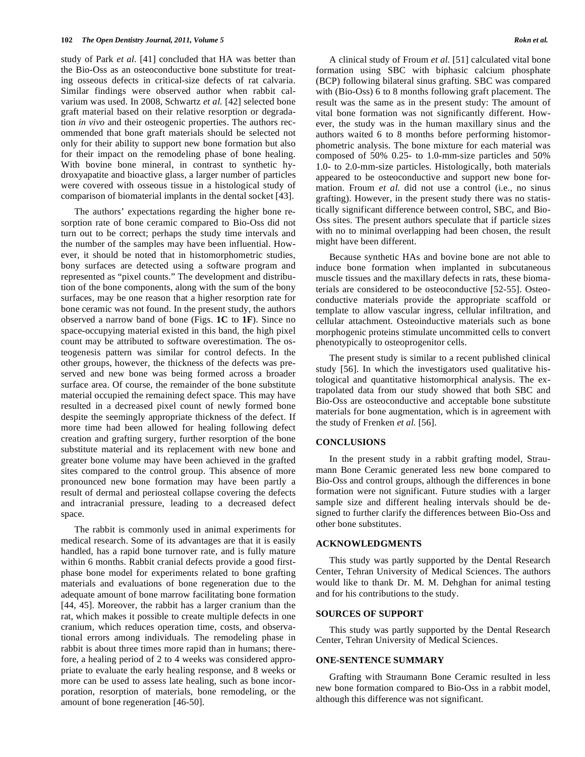study of Park *et al.* [41] concluded that HA was better than the Bio-Oss as an osteoconductive bone substitute for treating osseous defects in critical-size defects of rat calvaria. Similar findings were observed author when rabbit calvarium was used. In 2008, Schwartz *et al.* [42] selected bone graft material based on their relative resorption or degradation *in vivo* and their osteogenic properties. The authors recommended that bone graft materials should be selected not only for their ability to support new bone formation but also for their impact on the remodeling phase of bone healing. With bovine bone mineral, in contrast to synthetic hydroxyapatite and bioactive glass, a larger number of particles were covered with osseous tissue in a histological study of comparison of biomaterial implants in the dental socket [43].

The authors' expectations regarding the higher bone resorption rate of bone ceramic compared to Bio-Oss did not turn out to be correct; perhaps the study time intervals and the number of the samples may have been influential. However, it should be noted that in histomorphometric studies, bony surfaces are detected using a software program and represented as "pixel counts." The development and distribution of the bone components, along with the sum of the bony surfaces, may be one reason that a higher resorption rate for bone ceramic was not found. In the present study, the authors observed a narrow band of bone (Figs. **1C** to **1F**). Since no space-occupying material existed in this band, the high pixel count may be attributed to software overestimation. The osteogenesis pattern was similar for control defects. In the other groups, however, the thickness of the defects was preserved and new bone was being formed across a broader surface area. Of course, the remainder of the bone substitute material occupied the remaining defect space. This may have resulted in a decreased pixel count of newly formed bone despite the seemingly appropriate thickness of the defect. If more time had been allowed for healing following defect creation and grafting surgery, further resorption of the bone substitute material and its replacement with new bone and greater bone volume may have been achieved in the grafted sites compared to the control group. This absence of more pronounced new bone formation may have been partly a result of dermal and periosteal collapse covering the defects and intracranial pressure, leading to a decreased defect space.

The rabbit is commonly used in animal experiments for medical research. Some of its advantages are that it is easily handled, has a rapid bone turnover rate, and is fully mature within 6 months. Rabbit cranial defects provide a good firstphase bone model for experiments related to bone grafting materials and evaluations of bone regeneration due to the adequate amount of bone marrow facilitating bone formation [44, 45]. Moreover, the rabbit has a larger cranium than the rat, which makes it possible to create multiple defects in one cranium, which reduces operation time, costs, and observational errors among individuals. The remodeling phase in rabbit is about three times more rapid than in humans; therefore, a healing period of 2 to 4 weeks was considered appropriate to evaluate the early healing response, and 8 weeks or more can be used to assess late healing, such as bone incorporation, resorption of materials, bone remodeling, or the amount of bone regeneration [46-50].

A clinical study of Froum *et al.* [51] calculated vital bone formation using SBC with biphasic calcium phosphate (BCP) following bilateral sinus grafting. SBC was compared with (Bio-Oss) 6 to 8 months following graft placement. The result was the same as in the present study: The amount of vital bone formation was not significantly different. However, the study was in the human maxillary sinus and the authors waited 6 to 8 months before performing histomorphometric analysis. The bone mixture for each material was composed of 50% 0.25- to 1.0-mm-size particles and 50% 1.0- to 2.0-mm-size particles. Histologically, both materials appeared to be osteoconductive and support new bone formation. Froum *et al.* did not use a control (i.e., no sinus grafting). However, in the present study there was no statistically significant difference between control, SBC, and Bio-Oss sites. The present authors speculate that if particle sizes with no to minimal overlapping had been chosen, the result might have been different.

Because synthetic HAs and bovine bone are not able to induce bone formation when implanted in subcutaneous muscle tissues and the maxillary defects in rats, these biomaterials are considered to be osteoconductive [52-55]. Osteoconductive materials provide the appropriate scaffold or template to allow vascular ingress, cellular infiltration, and cellular attachment. Osteoinductive materials such as bone morphogenic proteins stimulate uncommitted cells to convert phenotypically to osteoprogenitor cells.

The present study is similar to a recent published clinical study [56]. In which the investigators used qualitative histological and quantitative histomorphical analysis. The extrapolated data from our study showed that both SBC and Bio-Oss are osteoconductive and acceptable bone substitute materials for bone augmentation, which is in agreement with the study of Frenken *et al.* [56].

### **CONCLUSIONS**

In the present study in a rabbit grafting model, Straumann Bone Ceramic generated less new bone compared to Bio-Oss and control groups, although the differences in bone formation were not significant. Future studies with a larger sample size and different healing intervals should be designed to further clarify the differences between Bio-Oss and other bone substitutes.

#### **ACKNOWLEDGMENTS**

This study was partly supported by the Dental Research Center, Tehran University of Medical Sciences. The authors would like to thank Dr. M. M. Dehghan for animal testing and for his contributions to the study.

#### **SOURCES OF SUPPORT**

This study was partly supported by the Dental Research Center, Tehran University of Medical Sciences.

## **ONE-SENTENCE SUMMARY**

Grafting with Straumann Bone Ceramic resulted in less new bone formation compared to Bio-Oss in a rabbit model, although this difference was not significant.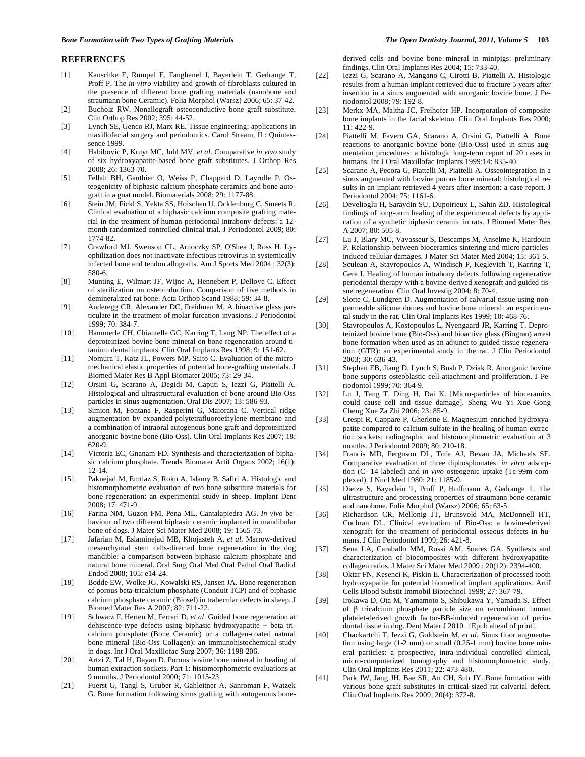#### **REFERENCES**

- [1] Kauschke E, Rumpel E, Fanghanel J, Bayerlein T, Gedrange T, Proff P. The *in vitro* viability and growth of fibroblasts cultured in the presence of different bone grafting materials (nanobone and straumann bone Ceramic). Folia Morphol (Warsz) 2006; 65: 37-42.
- [2] Bucholz RW. Nonallograft osteoconductive bone graft substitute. Clin Orthop Res 2002; 395: 44-52.
- [3] Lynch SE, Genco RJ, Marx RE. Tissue engineering: applications in maxillofacial surgery and periodontics. Carol Stream, IL: Quintessence 1999.
- [4] Habibovic P, Kruyt MC, Juhl MV, *et al*. Comparative *in vivo* study of six hydroxyapatite-based bone graft substitutes. J Orthop Res 2008; 26: 1363-70.
- [5] Fellah BH, Gauthier O, Weiss P, Chappard D, Layrolle P. Osteogenicity of biphasic calcium phosphate ceramics and bone autograft in a goat model. Biomaterials 2008; 29: 1177-88.
- [6] Stein JM, Fickl S, Yekta SS, Hoischen U, Ocklenburg C, Smeets R. Clinical evaluation of a biphasic calcium composite grafting material in the treatment of human periodontal intrabony defects: a 12 month randomized controlled clinical trial. J Periodontol 2009; 80: 1774-82.
- [7] Crawford MJ, Swenson CL, Arnoczky SP, O'Shea J, Ross H. Lyophilization does not inactivate infectious retrovirus in systemically infected bone and tendon allografts. Am J Sports Med 2004 ; 32(3): 580-6.
- [8] Munting E, Wilmart JF, Wijne A, Hennebert P, Delloye C. Effect of sterilization on osteoinduction. Comparison of five methods in demineralized rat bone. Acta Orthop Scand 1988; 59: 34-8.
- [9] Anderegg CR, Alexander DC, Freidman M. A bioactive glass particulate in the treatment of molar furcation invasions. J Periodontol 1999; 70: 384-7.
- [10] Hammerle CH, Chiantella GC, Karring T, Lang NP. The effect of a deproteinized bovine bone mineral on bone regeneration around titanium dental implants. Clin Oral Implants Res 1998; 9: 151-62.
- [11] Nomura T, Katz JL, Powers MP, Saito C. Evaluation of the micromechanical elastic properties of potential bone-grafting materials. J Biomed Mater Res B Appl Biomater 2005; 73: 29-34.
- [12] Orsini G, Scarano A, Degidi M, Caputi S, Iezzi G, Piattelli A. Histological and ultrastructural evaluation of bone around Bio-Oss particles in sinus augmentation. Oral Dis 2007; 13: 586-93.
- [13] Simion M, Fontana F, Rasperini G, Maiorana C. Vertical ridge augmentation by expanded-polytetrafluoroethylene membrane and a combination of intraoral autogenous bone graft and deproteinized anorganic bovine bone (Bio Oss). Clin Oral Implants Res 2007; 18: 620-9.
- [14] Victoria EC, Gnanam FD. Synthesis and characterization of biphasic calcium phosphate. Trends Biomater Artif Organs 2002; 16(1): 12-14.
- [15] Paknejad M, Emtiaz S, Rokn A, Islamy B, Safiri A. Histologic and histomorphometric evaluation of two bone substitute materials for bone regeneration: an experimental study in sheep. Implant Dent 2008; 17: 471-9.
- [16] Farina NM, Guzon FM, Pena ML, Cantalapiedra AG. *In vivo* behaviour of two different biphasic ceramic implanted in mandibular bone of dogs. J Mater Sci Mater Med 2008; 19: 1565-73.
- [17] Jafarian M, Eslaminejad MB, Khojasteh A, *et al*. Marrow-derived mesenchymal stem cells-directed bone regeneration in the dog mandible: a comparison between biphasic calcium phosphate and natural bone mineral. Oral Surg Oral Med Oral Pathol Oral Radiol Endod 2008; 105: e14-24.
- [18] Bodde EW, Wolke JG, Kowalski RS, Jansen JA. Bone regeneration of porous beta-tricalcium phosphate (Conduit TCP) and of biphasic calcium phosphate ceramic (Biosel) in trabecular defects in sheep. J Biomed Mater Res A 2007; 82: 711-22.
- [19] Schwarz F, Herten M, Ferrari D, *et al*. Guided bone regeneration at dehiscence-type defects using biphasic hydroxyapatite + beta tricalcium phosphate (Bone Ceramic) or a collagen-coated natural bone mineral (Bio-Oss Collagen): an immunohistochemical study in dogs. Int J Oral Maxillofac Surg 2007; 36: 1198-206.
- [20] Artzi Z, Tal H, Dayan D. Porous bovine bone mineral in healing of human extraction sockets. Part 1: histomorphometric evaluations at 9 months. J Periodontol 2000; 71: 1015-23.
- [21] Fuerst G, Tangl S, Gruber R, Gahleitner A, Sanroman F, Watzek G. Bone formation following sinus grafting with autogenous bone-

derived cells and bovine bone mineral in minipigs: preliminary findings. Clin Oral Implants Res 2004; 15: 733-40.

- [22] Iezzi G, Scarano A, Mangano C, Cirotti B, Piattelli A. Histologic results from a human implant retrieved due to fracture 5 years after insertion in a sinus augmented with anorganic bovine bone. J Periodontol 2008; 79: 192-8.
- [23] Merkx MA, Maltha JC, Freihofer HP. Incorporation of composite bone implants in the facial skeleton. Clin Oral Implants Res 2000; 11: 422-9.
- [24] Piattelli M, Favero GA, Scarano A, Orsini G, Piattelli A. Bone reactions to anorganic bovine bone (Bio-Oss) used in sinus augmentation procedures: a histologic long-term report of 20 cases in humans. Int J Oral Maxillofac Implants 1999;14: 835-40.
- [25] Scarano A, Pecora G, Piattelli M, Piattelli A. Osseointegration in a sinus augmented with bovine porous bone mineral: histological results in an implant retrieved 4 years after insertion: a case report. J Periodontol 2004; 75: 1161-6.
- [26] Develioglu H, Saraydin SU, Dupoirieux L, Sahin ZD. Histological findings of long-term healing of the experimental defects by application of a synthetic biphasic ceramic in rats. J Biomed Mater Res A  $2007:80:505-8$ .
- [27] Lu J, Blary MC, Vavasseur S, Descamps M, Anselme K, Hardouin P. Relationship between bioceramics sintering and micro-particlesinduced cellular damages. J Mater Sci Mater Med 2004; 15: 361-5.
- [28] Sculean A, Stavropoulos A, Windisch P, Keglevich T, Karring T, Gera I. Healing of human intrabony defects following regenerative periodontal therapy with a bovine-derived xenograft and guided tissue regeneration. Clin Oral Investig 2004; 8: 70-4.
- [29] Slotte C, Lundgren D. Augmentation of calvarial tissue using nonpermeable silicone domes and bovine bone mineral: an experimental study in the rat. Clin Oral Implants Res 1999; 10: 468-76.
- [30] Stavropoulos A, Kostopoulos L, Nyengaard JR, Karring T. Deproteinized bovine bone (Bio-Oss) and bioactive glass (Biogran) arrest bone formation when used as an adjunct to guided tissue regeneration (GTR): an experimental study in the rat. J Clin Periodontol 2003; 30: 636-43.
- [31] Stephan EB, Jiang D, Lynch S, Bush P, Dziak R. Anorganic bovine bone supports osteoblastic cell attachment and proliferation. J Periodontol 1999; 70: 364-9.
- [32] Lu J, Tang T, Ding H, Dai K. [Micro-particles of bioceramics could cause cell and tissue damage]. Sheng Wu Yi Xue Gong Cheng Xue Za Zhi 2006; 23: 85-9.
- [33] Crespi R, Cappare P, Gherlone E. Magnesium-enriched hydroxyapatite compared to calcium sulfate in the healing of human extraction sockets: radiographic and histomorphometric evaluation at 3 months. J Periodontol 2009; 80: 210-18.
- [34] Francis MD, Ferguson DL, Tofe AJ, Bevan JA, Michaels SE. Comparative evaluation of three diphosphonates: *in vitro* adsorption (C- 14 labeled) and *in vivo* osteogenic uptake (Tc-99m complexed). J Nucl Med 1980; 21: 1185-9.
- [35] Dietze S, Bayerlein T, Proff P, Hoffmann A, Gedrange T. The ultrastructure and processing properties of straumann bone ceramic and nanobone. Folia Morphol (Warsz) 2006; 65: 63-5.
- [36] Richardson CR, Mellonig JT, Brunsvold MA, McDonnell HT, Cochran DL. Clinical evaluation of Bio-Oss: a bovine-derived xenograft for the treatment of periodontal osseous defects in humans. J Clin Periodontol 1999; 26: 421-8.
- [37] Sena LA, Caraballo MM, Rossi AM, Soares GA. Synthesis and characterization of biocomposites with different hydroxyapatitecollagen ratios. J Mater Sci Mater Med 2009 ; 20(12): 2394-400.
- [38] Oktar FN, Kesenci K, Piskin E. Characterization of processed tooth hydroxyapatite for potential biomedical implant applications. Artif Cells Blood Substit Immobil Biotechnol 1999; 27: 367-79.
- [39] Irokawa D, Ota M, Yamamoto S, Shibukawa Y, Yamada S. Effect of  $\beta$  tricalcium phosphate particle size on recombinant human platelet-derived growth factor-BB-induced regeneration of periodontal tissue in dog. Dent Mater J 2010 . [Epub ahead of print].
- [40] Chackartchi T, Iezzi G, Goldstein M, *et al*. Sinus floor augmentation using large (1-2 mm) or small (0.25-1 mm) bovine bone mineral particles: a prospective, intra-individual controlled clinical, micro-computerized tomography and histomorphometric study. Clin Oral Implants Res 2011; 22: 473-480.
- [41] Park JW, Jang JH, Bae SR, An CH, Suh JY. Bone formation with various bone graft substitutes in critical-sized rat calvarial defect. Clin Oral Implants Res 2009; 20(4): 372-8.